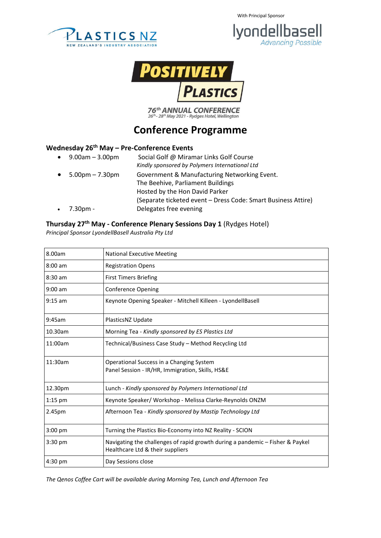







 $76$ <sup>th</sup> ANNUAL CONFERENCE<br> $26$ <sup>th</sup> -  $28$ <sup>th</sup> May 2021 - Rydges Hotel, Wellington

# **Conference Programme**

### **Wednesday 26th May – Pre-Conference Events**

 9.00am – 3.00pm Social Golf @ Miramar Links Golf Course *Kindly sponsored by Polymers International Ltd* 5.00pm – 7.30pm Government & Manufacturing Networking Event. The Beehive, Parliament Buildings Hosted by the Hon David Parker (Separate ticketed event – Dress Code: Smart Business Attire) 7.30pm - Delegates free evening

#### **Thursday 27th May - Conference Plenary Sessions Day 1** (Rydges Hotel)

*Principal Sponsor LyondellBasell Australia Pty Ltd*

| 8.00am    | <b>National Executive Meeting</b>                                                                                 |
|-----------|-------------------------------------------------------------------------------------------------------------------|
| $8:00$ am | <b>Registration Opens</b>                                                                                         |
| $8:30$ am | <b>First Timers Briefing</b>                                                                                      |
| $9:00$ am | <b>Conference Opening</b>                                                                                         |
| $9:15$ am | Keynote Opening Speaker - Mitchell Killeen - LyondellBasell                                                       |
| 9:45am    | PlasticsNZ Update                                                                                                 |
| 10.30am   | Morning Tea - Kindly sponsored by ES Plastics Ltd                                                                 |
| 11:00am   | Technical/Business Case Study - Method Recycling Ltd                                                              |
| 11:30am   | Operational Success in a Changing System<br>Panel Session - IR/HR, Immigration, Skills, HS&E                      |
| 12.30pm   | Lunch - Kindly sponsored by Polymers International Ltd                                                            |
| $1:15$ pm | Keynote Speaker/ Workshop - Melissa Clarke-Reynolds ONZM                                                          |
| 2.45pm    | Afternoon Tea - Kindly sponsored by Mastip Technology Ltd                                                         |
| $3:00$ pm | Turning the Plastics Bio-Economy into NZ Reality - SCION                                                          |
| $3:30$ pm | Navigating the challenges of rapid growth during a pandemic - Fisher & Paykel<br>Healthcare Ltd & their suppliers |
| 4:30 pm   | Day Sessions close                                                                                                |

*The Qenos Coffee Cart will be available during Morning Tea, Lunch and Afternoon Tea*